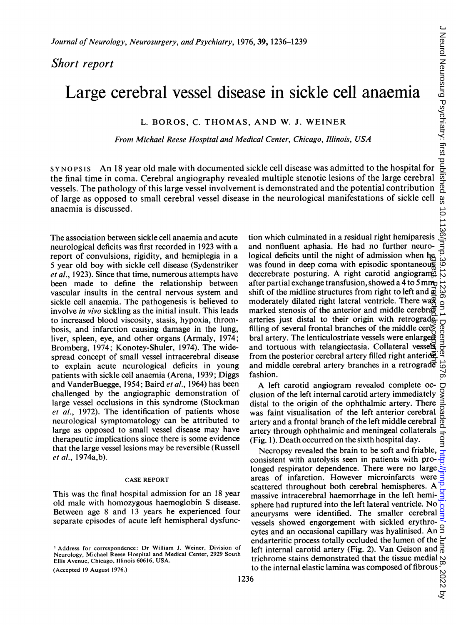## Short report

# Large cerebral vessel disease in sickle cell anaemia

## L. BOROS, C. THOMAS, AND W. J. WEINER

From Michael Reese Hospital and Medical Center, Chicago, Illinois, USA

SYNOPSIS An <sup>18</sup> year old male with documented sickle cell disease was admitted to the hospital for the final time in coma. Cerebral angiography revealed multiple stenotic lesions of the large cerebral vessels. The pathology of this large vessel involvement is demonstrated and the potential contribution *Journal of Neurology, Neurosurgery, and Psychiatry, 1976, 39, 1236–1239*<br>
Short report<br>  $\overline{z}$ <br>
Large cerebral vessel disease in sickle cell anaemia<br>
L. BOROS, C. THOMAS, AND W. J. WEINER<br>
From Michael Reese Hospital a anaemia is discussed.

The association between sickle cell anaemia and acute neurological deficits was first recorded in 1923 with a report of convulsions, rigidity, and hemiplegia in a 5 year old boy with sickle cell disease (Sydenstriker et al., 1923). Since that time, numerous attempts have been made to define the relationship between vascular insults in the central nervous system and sickle cell anaemia. The pathogenesis is believed to involve in vivo sickling as the initial insult. This leads to increased blood viscosity, stasis, hypoxia, thrombosis, and infarction causing damage in the lung, liver, spleen, eye, and other organs (Armaly, 1974; Bromberg, 1974; Konotey-Shuler, 1974). The widespread concept of small vessel intracerebral disease to explain acute neurological deficits in young patients with sickle cell anaemia (Arena, 1939; Diggs and VanderBuegge, 1954; Baird et al., 1964) has been challenged by the angiographic demonstration of large vessel occlusions in this syndrome (Stockman et al., 1972). The identification of patients whose neurological symptomatology can be attributed to large as opposed to small vessel disease may have therapeutic implications since there is some evidence that the large vessel lesions may be reversible (Russell et al., 1974a,b).

#### CASE REPORT

This was the final hospital admission for an 18 year old male with homozygous haemoglobin S disease. Between age 8 and 13 years he experienced four separate episodes of acute left hemispheral dysfunc-

(Accepted 19 August 1976.)

tion which culminated in a residual right hemiparesis and nonfluent aphasia. He had no further neurological deficits until the night of admission when he was found in deep coma with episodic spontaneous decerebrate posturing. A right carotid angiogram after partial exchange transfusion, showed a 4 to 5 mm shift of the midline structures from right to left and  $\vec{\omega}$ moderately dilated right lateral ventricle. There wage marked stenosis of the anterior and middle cerebral arteries just distal to their origin with retrograde filling of several frontal branches of the middle cerebral artery. The lenticulostriate vessels were enlarged and tortuous with telangiectasia. Collateral vessels from the posterior cerebral artery filled right anteriore and middle cerebral artery branches in a retrograd $\vec{e}$ fashion. guest. E<sup>r</sup>etected by cepter in the

A left carotid angiogram revealed complete occlusion of the left internal carotid artery immediately distal to the origin of the ophthalmic artery. There was faint visualisation of the left anterior cerebral clusion of the left internal carotid artery immediately g<br>distal to the origin of the ophthalmic artery. There<br>was faint visualisation of the left anterior cerebral actery<br>antery and a frontal branch of the left middle cer artery through ophthalmic and meningeal collaterals (Fig. 1). Death occurred on the sixth hospital day.

Necropsy revealed the brain to be soft and friable, consistent with autolysis seen in patients with prolonged respirator dependence. There were no large areas of infarction. However microinfarcts were scattered throughout both cerebral hemispheres. A massive intracerebral haemorrhage in the left hemisphere had ruptured into the left lateral ventricle. No aneurysms were identified. The smaller cerebral vessels showed engorgement with sickled erythrocytes and an occasional capillary was hyalinised. An  $\Im$ endarteritic process totally occluded the lumen of the  $\geq$  left internal carotid artery (Fig. 2). Van Geison and  $\frac{1}{6}$ left internal carotid artery (Fig. 2). Van Geison and trichrome stains demonstrated that the tissue medial to the internal elastic lamina was composed of fibrous  $\frac{60}{60}$ <br>6

<sup>&</sup>lt;sup>1</sup> Address for correspondence: Dr William J. Weiner, Division of Neurology, Michael Reese Hospital and Medical Center, 2929 South Ellis Avenue, Chicago, Illinois 60616, USA.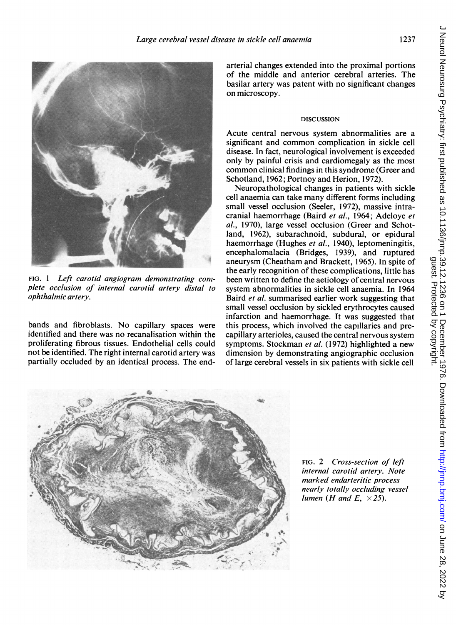

FIG. <sup>1</sup> Left carotid angiogram demonstrating complete occlusion of internal carotid artery distal to ophthalmic artery.

bands and fibroblasts. No capillary spaces were identified and there was no recanalisation within the proliferating fibrous tissues. Endothelial cells could not be identified. The right internal carotid artery was partially occluded by an identical process. The endarterial changes extended into the proximal portions of the middle and anterior cerebral arteries. The basilar artery was patent with no significant changes on microscopy.

#### DISCUSSION

Acute central nervous system abnormalities are a significant and common complication in sickle cell disease. In fact, neurological involvement is exceeded only by painful crisis and cardiomegaly as the most common clinical findings in this syndrome (Greer and Schotland, 1962; Portnoy and Herion, 1972).

Neuropathological changes in patients with sickle cell anaemia can take many different forms including small vessel occlusion (Seeler, 1972), massive intracranial haemorrhage (Baird et al., 1964; Adeloye et al., 1970), large vessel occlusion (Greer and Schotland, 1962), subarachnoid, subdural, or epidural haemorrhage (Hughes et al., 1940), leptomeningitis, encephalomalacia (Bridges, 1939), and ruptured aneurysm (Cheatham and Brackett, 1965). In spite of the early recognition of these complications, little has been written to define the aetiology of central nervous system abnormalities in sickle cell anaemia. In 1964 Baird et al. summarised earlier work suggesting that small vessel occlusion by sickled erythrocytes caused infarction and haemorrhage. It was suggested that this process, which involved the capillaries and precapillary arterioles, caused the central nervous system symptoms. Stockman et al. (1972) highlighted a new dimension by demonstrating angiographic occlusion of large cerebral vessels in six patients with sickle cell



FIG. 2 Cross-section of left internal carotid artery. Note marked endarteritic process nearly totally occluding vessel lumen (H and E,  $\times$  25).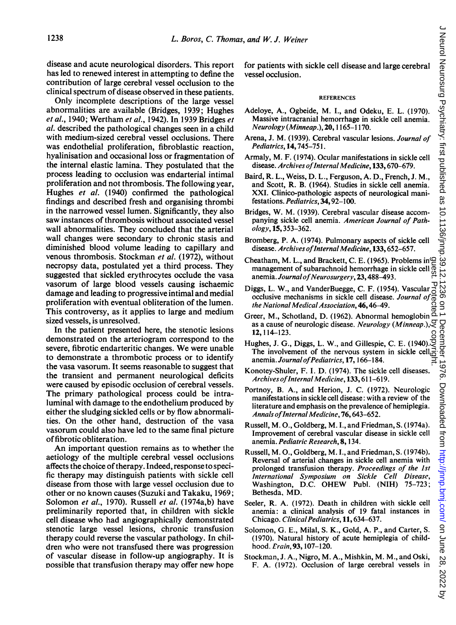disease and acute neurological disorders. This report has led to renewed interest in attempting to define the contribution of large cerebral vessel occlusion to the clinical spectrum of disease observed in these patients.

Only incomplete descriptions of the large vessel abnormalities are available (Bridges, 1939; Hughes et al., 1940; Wertham et al., 1942). In 1939 Bridges et al. described the pathological changes seen in a child with medium-sized cerebral vessel occlusions. There was endothelial proliferation, fibroblastic reaction, hyalinisation and occasional loss or fragmentation of the internal elastic lamina. They postulated that the process leading to occlusion was endarterial intimal proliferation and not thrombosis. The following year, Hughes et al. (1940) confirmed the pathological findings and described fresh and organising thrombi in the narrowed vessel lumen. Significantly, they also saw instances of thrombosis without associated vessel wall abnormalities. They concluded that the arterial wall changes were secondary to chronic stasis and diminished blood volume leading to capillary and venous thrombosis. Stockman et al. (1972), without necropsy data, postulated yet a third process. They suggested that sickled erythrocytes occlude the vasa vasorum of large blood vessels causing ischaemic damage and leading to progressive intimal and medial proliferation with eventual obliteration of the lumen. This controversy, as it applies to large and medium sized vessels, is unresolved.

In the patient presented here, the stenotic lesions demonstrated on the arteriogram correspond to the severe, fibrotic endarteritic changes. We were unable to demonstrate a thrombotic process or to identify the vasa vasorum. It seems reasonable to suggest that the transient and permanent neurological deficits were caused by episodic occlusion of cerebral vessels. The primary pathological process could be intraluminal with damage to the endothelium produced by either the sludging sickled cells or by flow abnormalities. On the other hand, destruction of the vasa vasorum could also have led to the same final picture offibrotic obliteration.

An important question remains as to whether the aetiology of the multiple cerebral vessel occlusions affects the choice of therapy. Indeed, response to specific therapy may distinguish patients with sickle cell disease from those with large vessel occlusion due to other or no known causes (Suzuki and Takaku, 1969; Solomon et al., 1970). Russell et al. (1974a,b) have preliminarily reported that, in children with sickle cell disease who had angiographically demonstrated stenotic large vessel lesions, chronic transfusion therapy could reverse the vascular pathology. In children who were not transfused there was progression of vascular disease in follow-up angiography. It is possible that transfusion therapy may offer new hope

for patients with sickle cell disease and large cerebral vessel occlusion.

#### **REFERENCES**

- Adeloye, A., Ogbeide, M. I., and Odeku, E. L. (1970). Massive intracranial hemorrhage in sickle cell anemia. Neurology (Minneap.), 20, 1165-1170.
- Arena, J. M. (1939). Cerebral vascular lesions. Journal of Pediatrics, 14,745-751.
- Armaly, M. F. (1974). Ocular manifestations in sickle cell disease. Archives of Internal Medicine, 133, 670-679.
- Baird, R. L., Weiss, D. L., Ferguson, A. D., French, J. M., and Scott, R. B. (1964). Studies in sickle cell anemia. XXI. Clinico-pathologic aspects of neurological manifestations. Pediatrics, 34, 92-100.
- Bridges, W. M. (1939). Cerebral vascular disease accompanying sickle cell anemia. American Journal of Pathology, 15,353-362.
- Bromberg, P. A. (1974). Pulmonary aspects of sickle cell disease. Archives of Internal Medicine, 133, 652-657.
- Cheatham, M. L., and Brackett, C. E. (1965). Problems in management of subarachnoid hemorrhage in sickle cell  $\frac{1}{60}$ anemia. Journal of Neurosurgery, 23, 488-493. guest. Protected by copyright.
- Diggs, L. W., and VanderBuegge, C. F. (1954). Vascular occlusive mechanisms in sickle cell disease. Journal of the National Medical Association, 46, 46-49.
- Greer, M., Schotland, D. (1962). Abnormal hemoglobin  $\overline{a}$ as a cause of neurologic disease. Neurology (Minneap.), $\gtrsim$ 12,114-123.
- Hughes, J. G., Diggs, L. W., and Gillespie, C. E. (1940). The involvement of the nervous system in sickle cell $\vec{a}$ anemia. Journal of Pediatrics, 17, 166-184.
- Konotey-Shuler, F. I. D. (1974). The sickle cell diseases. Archives of Internal Medicine, 133, 611-619.
- Portnoy, B. A., and Herion, J. C. (1972). Neurologic manifestations in sickle cell disease: with a review of the literature and emphasis on the prevalence of hemiplegia. Annals of Internal Medicine, 76, 643–652.
- Russell, M. O., Goldberg, M. I., and Friedman, S. (1974a). Improvement of cerebral vascular disease in sickle cell anemia. Pediatric Research, 8, 134.
- Russell, M. O., Goldberg, M. I., and Friedman, S. (1974b). Reversal of arterial changes in sickle cell anemia with prolonged transfusion therapy. Proceedings of the 1st International Symposium on Sickle Cell Disease, Washington, D.C. OHEW Publ. (NIH) 75-723; Bethesda, MD.
- Seeler, R. A. (1972). Death in children with sickle cell anemia: a clinical analysis of 19 fatal instances in Chicago. Clinical Pediatrics, 11, 634-637.
- Solomon, G. E., Milal, S. K., Gold, A. P., and Carter, S. (1970). Natural history of acute hemiplegia of childhood. *Erain*, 93, 107-120.
- Stockman, J. A., Nigro, M. A., Mishkin, M. M., and Oski, F. A. (1972). Occlusion of large cerebral vessels in